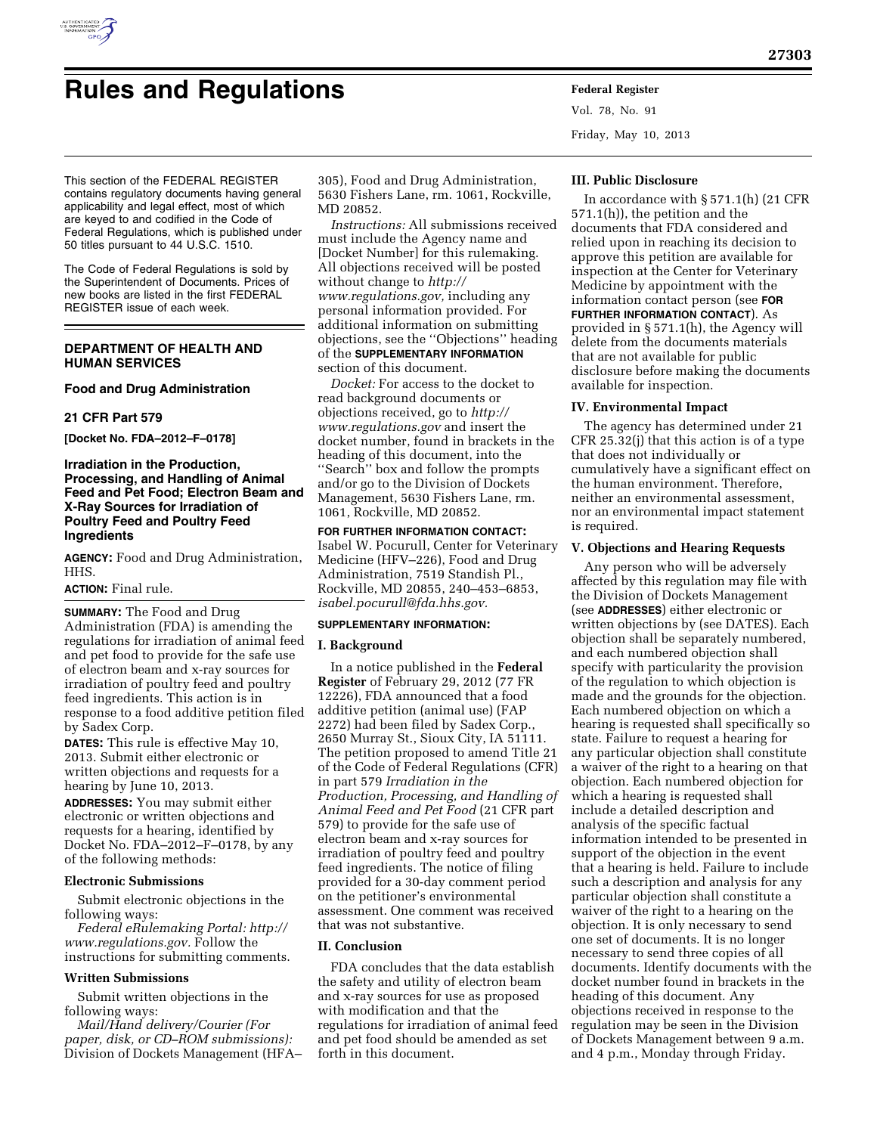

# **Rules and Regulations Federal Register**

Vol. 78, No. 91 Friday, May 10, 2013

This section of the FEDERAL REGISTER contains regulatory documents having general applicability and legal effect, most of which are keyed to and codified in the Code of Federal Regulations, which is published under 50 titles pursuant to 44 U.S.C. 1510.

The Code of Federal Regulations is sold by the Superintendent of Documents. Prices of new books are listed in the first FEDERAL REGISTER issue of each week.

# **DEPARTMENT OF HEALTH AND HUMAN SERVICES**

## **Food and Drug Administration**

## **21 CFR Part 579**

**[Docket No. FDA–2012–F–0178]** 

# **Irradiation in the Production, Processing, and Handling of Animal Feed and Pet Food; Electron Beam and X-Ray Sources for Irradiation of Poultry Feed and Poultry Feed Ingredients**

**AGENCY:** Food and Drug Administration, HHS.

# **ACTION:** Final rule.

**SUMMARY:** The Food and Drug Administration (FDA) is amending the regulations for irradiation of animal feed and pet food to provide for the safe use of electron beam and x-ray sources for irradiation of poultry feed and poultry feed ingredients. This action is in response to a food additive petition filed by Sadex Corp.

**DATES:** This rule is effective May 10, 2013. Submit either electronic or written objections and requests for a hearing by June 10, 2013.

**ADDRESSES:** You may submit either electronic or written objections and requests for a hearing, identified by Docket No. FDA–2012–F–0178, by any of the following methods:

### **Electronic Submissions**

Submit electronic objections in the following ways:

*Federal eRulemaking Portal: [http://](http://www.regulations.gov)  [www.regulations.gov.](http://www.regulations.gov)* Follow the instructions for submitting comments.

## **Written Submissions**

Submit written objections in the following ways:

*Mail/Hand delivery/Courier (For paper, disk, or CD–ROM submissions):*  Division of Dockets Management (HFA–

305), Food and Drug Administration, 5630 Fishers Lane, rm. 1061, Rockville, MD 20852.

*Instructions:* All submissions received must include the Agency name and [Docket Number] for this rulemaking. All objections received will be posted without change to *[http://](http://www.regulations.gov) [www.regulations.gov,](http://www.regulations.gov)* including any personal information provided. For additional information on submitting objections, see the ''Objections'' heading of the **SUPPLEMENTARY INFORMATION** section of this document.

*Docket:* For access to the docket to read background documents or objections received, go to *[http://](http://www.regulations.gov) [www.regulations.gov](http://www.regulations.gov)* and insert the docket number, found in brackets in the heading of this document, into the ''Search'' box and follow the prompts and/or go to the Division of Dockets Management, 5630 Fishers Lane, rm. 1061, Rockville, MD 20852.

**FOR FURTHER INFORMATION CONTACT:**  Isabel W. Pocurull, Center for Veterinary Medicine (HFV–226), Food and Drug Administration, 7519 Standish Pl., Rockville, MD 20855, 240–453–6853, *[isabel.pocurull@fda.hhs.gov.](mailto:isabel.pocurull@fda.hhs.gov)* 

### **SUPPLEMENTARY INFORMATION:**

#### **I. Background**

In a notice published in the **Federal Register** of February 29, 2012 (77 FR 12226), FDA announced that a food additive petition (animal use) (FAP 2272) had been filed by Sadex Corp., 2650 Murray St., Sioux City, IA 51111. The petition proposed to amend Title 21 of the Code of Federal Regulations (CFR) in part 579 *Irradiation in the Production, Processing, and Handling of Animal Feed and Pet Food* (21 CFR part 579) to provide for the safe use of electron beam and x-ray sources for irradiation of poultry feed and poultry feed ingredients. The notice of filing provided for a 30-day comment period on the petitioner's environmental assessment. One comment was received that was not substantive.

## **II. Conclusion**

FDA concludes that the data establish the safety and utility of electron beam and x-ray sources for use as proposed with modification and that the regulations for irradiation of animal feed and pet food should be amended as set forth in this document.

#### **III. Public Disclosure**

In accordance with § 571.1(h) (21 CFR 571.1(h)), the petition and the documents that FDA considered and relied upon in reaching its decision to approve this petition are available for inspection at the Center for Veterinary Medicine by appointment with the information contact person (see **FOR FURTHER INFORMATION CONTACT**). As provided in § 571.1(h), the Agency will delete from the documents materials that are not available for public disclosure before making the documents available for inspection.

#### **IV. Environmental Impact**

The agency has determined under 21 CFR 25.32(j) that this action is of a type that does not individually or cumulatively have a significant effect on the human environment. Therefore, neither an environmental assessment, nor an environmental impact statement is required.

#### **V. Objections and Hearing Requests**

Any person who will be adversely affected by this regulation may file with the Division of Dockets Management (see **ADDRESSES**) either electronic or written objections by (see DATES). Each objection shall be separately numbered, and each numbered objection shall specify with particularity the provision of the regulation to which objection is made and the grounds for the objection. Each numbered objection on which a hearing is requested shall specifically so state. Failure to request a hearing for any particular objection shall constitute a waiver of the right to a hearing on that objection. Each numbered objection for which a hearing is requested shall include a detailed description and analysis of the specific factual information intended to be presented in support of the objection in the event that a hearing is held. Failure to include such a description and analysis for any particular objection shall constitute a waiver of the right to a hearing on the objection. It is only necessary to send one set of documents. It is no longer necessary to send three copies of all documents. Identify documents with the docket number found in brackets in the heading of this document. Any objections received in response to the regulation may be seen in the Division of Dockets Management between 9 a.m. and 4 p.m., Monday through Friday.